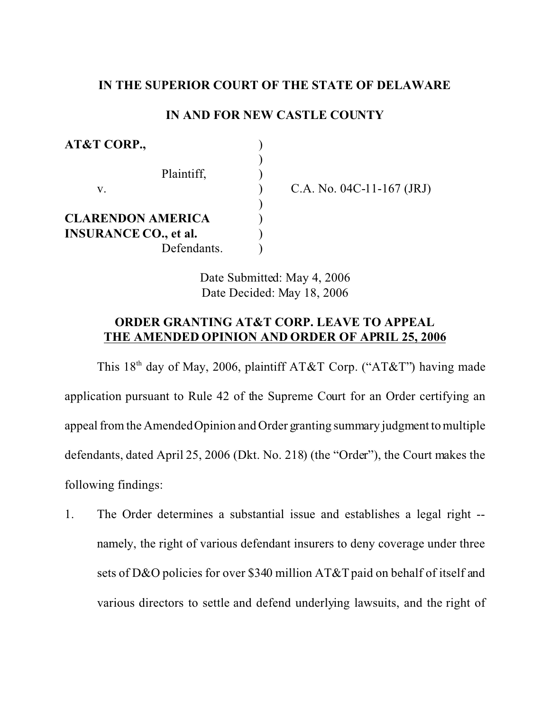## **IN THE SUPERIOR COURT OF THE STATE OF DELAWARE**

## **IN AND FOR NEW CASTLE COUNTY**

| AT&T CORP.,                  |  |
|------------------------------|--|
| Plaintiff,                   |  |
| V.                           |  |
|                              |  |
| <b>CLARENDON AMERICA</b>     |  |
| <b>INSURANCE CO., et al.</b> |  |
| Defendants.                  |  |

A. No.  $04C-11-167$  (JRJ)

Date Submitted: May 4, 2006 Date Decided: May 18, 2006

## **ORDER GRANTING AT&T CORP. LEAVE TO APPEAL THE AMENDED OPINION AND ORDER OF APRIL 25, 2006**

This  $18<sup>th</sup>$  day of May, 2006, plaintiff AT&T Corp. ("AT&T") having made application pursuant to Rule 42 of the Supreme Court for an Order certifying an appeal from the Amended Opinion and Order granting summary judgment to multiple defendants, dated April 25, 2006 (Dkt. No. 218) (the "Order"), the Court makes the following findings:

1. The Order determines a substantial issue and establishes a legal right - namely, the right of various defendant insurers to deny coverage under three sets of D&O policies for over \$340 million AT&T paid on behalf of itself and various directors to settle and defend underlying lawsuits, and the right of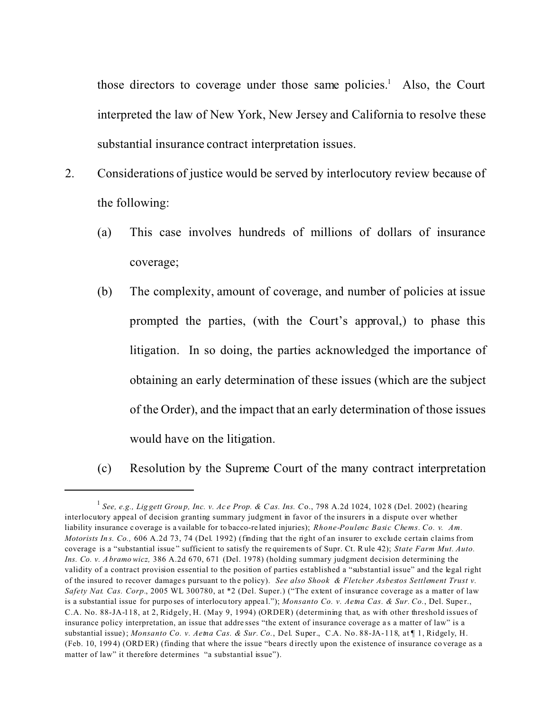those directors to coverage under those same policies.<sup>1</sup> Also, the Court interpreted the law of New York, New Jersey and California to resolve these substantial insurance contract interpretation issues.

- 2. Considerations of justice would be served by interlocutory review because of the following:
	- (a) This case involves hundreds of millions of dollars of insurance coverage;
	- (b) The complexity, amount of coverage, and number of policies at issue prompted the parties, (with the Court's approval,) to phase this litigation. In so doing, the parties acknowledged the importance of obtaining an early determination of these issues (which are the subject of the Order), and the impact that an early determination of those issues would have on the litigation.

(c) Resolution by the Supreme Court of the many contract interpretation

<sup>&</sup>lt;sup>1</sup> See, e.g., Liggett Group, Inc. v. Ace Prop. & Cas. Ins. Co., 798 A.2d 1024, 1028 (Del. 2002) (hearing interlocutory appeal of decision granting summary judgment in favor of the insurers in a dispute over whether liability insurance c overage is a vailable for to bacco-re lated injuries); *Rhone-Poulenc Basic Chems. Co. v. Am. Motorists In s. Co.,* 606 A.2d 73, 74 (Del. 1992) (finding that the right of an insurer to exclude certain claims from coverage is a "substantial issue " sufficient to satisfy the re quiremen ts of Supr. Ct. Rule 42); *State Farm Mut. Auto. Ins. Co. v. A bramowicz,* 386 A.2d 670, 671 (Del. 1978) (holding summary judgment decision determining the validity of a contract provision essential to the position of parties established a "substantial issue" and the legal right of the insured to recover damage s pursuant to th e policy). *See also Shook & Fletcher Asbestos Settlement Trust v. Safety Nat. Cas. Corp.*, 2005 WL 300780, at \*2 (Del. Super.) ("The extent of insurance coverage as a matter of law is a substantial issue for purpo ses of interlocutory appeal."); *Monsanto Co. v. Aetna Cas. & Sur. Co.*, Del. Super., C.A. No. 88-JA-118, at 2, Ridgely, H. (May 9, 1994) (ORDER) (determining that, as with other threshold issues of insurance policy interpretation, an issue that addre sses "the extent of insurance coverage a s a matter of law" is a substantial issue); *Monsanto Co. v. Aetna Cas. & Sur. Co.*, Del. Super., C.A. No. 88-JA-118, at ¶ 1, Ridgely, H. (Feb. 10, 199 4) (ORD ER) (finding that where the issue "bears d irectly upon the existence of insurance co verage as a matter of law" it therefore determines "a substantial issue").